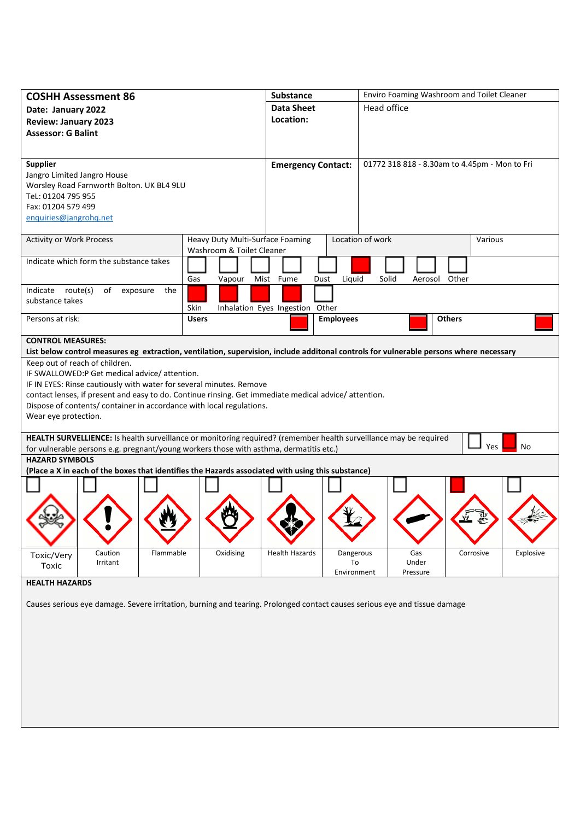| <b>COSHH Assessment 86</b>                                                                                                |                                                                                                       |                 |              |                                  | <b>Substance</b>                |                  | Enviro Foaming Washroom and Toilet Cleaner                                                                                             |               |           |           |  |
|---------------------------------------------------------------------------------------------------------------------------|-------------------------------------------------------------------------------------------------------|-----------------|--------------|----------------------------------|---------------------------------|------------------|----------------------------------------------------------------------------------------------------------------------------------------|---------------|-----------|-----------|--|
| Date: January 2022                                                                                                        |                                                                                                       |                 |              |                                  | <b>Data Sheet</b>               |                  | Head office                                                                                                                            |               |           |           |  |
| <b>Review: January 2023</b>                                                                                               |                                                                                                       |                 |              |                                  | Location:                       |                  |                                                                                                                                        |               |           |           |  |
| <b>Assessor: G Balint</b>                                                                                                 |                                                                                                       |                 |              |                                  |                                 |                  |                                                                                                                                        |               |           |           |  |
|                                                                                                                           |                                                                                                       |                 |              |                                  |                                 |                  |                                                                                                                                        |               |           |           |  |
|                                                                                                                           |                                                                                                       |                 |              |                                  |                                 |                  |                                                                                                                                        |               |           |           |  |
| <b>Supplier</b>                                                                                                           |                                                                                                       |                 |              |                                  | <b>Emergency Contact:</b>       |                  | 01772 318 818 - 8.30am to 4.45pm - Mon to Fri                                                                                          |               |           |           |  |
| Jangro Limited Jangro House                                                                                               | Worsley Road Farnworth Bolton. UK BL4 9LU                                                             |                 |              |                                  |                                 |                  |                                                                                                                                        |               |           |           |  |
| Tel: 01204 795 955                                                                                                        |                                                                                                       |                 |              |                                  |                                 |                  |                                                                                                                                        |               |           |           |  |
| Fax: 01204 579 499                                                                                                        |                                                                                                       |                 |              |                                  |                                 |                  |                                                                                                                                        |               |           |           |  |
| enquiries@jangrohq.net                                                                                                    |                                                                                                       |                 |              |                                  |                                 |                  |                                                                                                                                        |               |           |           |  |
|                                                                                                                           |                                                                                                       |                 |              |                                  |                                 |                  |                                                                                                                                        |               |           |           |  |
| <b>Activity or Work Process</b>                                                                                           |                                                                                                       |                 |              | Heavy Duty Multi-Surface Foaming |                                 |                  | Location of work                                                                                                                       | Various       |           |           |  |
|                                                                                                                           |                                                                                                       |                 |              | Washroom & Toilet Cleaner        |                                 |                  |                                                                                                                                        |               |           |           |  |
| Indicate which form the substance takes                                                                                   |                                                                                                       |                 |              |                                  |                                 |                  |                                                                                                                                        |               |           |           |  |
|                                                                                                                           |                                                                                                       |                 | Gas          | Vapour                           | Mist Fume                       | Liquid<br>Dust   | Solid<br>Aerosol                                                                                                                       | Other         |           |           |  |
| Indicate route(s)                                                                                                         | of                                                                                                    | the<br>exposure |              |                                  |                                 |                  |                                                                                                                                        |               |           |           |  |
| substance takes                                                                                                           |                                                                                                       |                 |              |                                  |                                 |                  |                                                                                                                                        |               |           |           |  |
|                                                                                                                           |                                                                                                       |                 | Skin         |                                  | Inhalation Eyes Ingestion Other |                  |                                                                                                                                        |               |           |           |  |
| Persons at risk:                                                                                                          |                                                                                                       |                 | <b>Users</b> |                                  |                                 | <b>Employees</b> |                                                                                                                                        | <b>Others</b> |           |           |  |
| <b>CONTROL MEASURES:</b>                                                                                                  |                                                                                                       |                 |              |                                  |                                 |                  |                                                                                                                                        |               |           |           |  |
|                                                                                                                           |                                                                                                       |                 |              |                                  |                                 |                  | List below control measures eg extraction, ventilation, supervision, include additonal controls for vulnerable persons where necessary |               |           |           |  |
|                                                                                                                           | Keep out of reach of children.                                                                        |                 |              |                                  |                                 |                  |                                                                                                                                        |               |           |           |  |
|                                                                                                                           | IF SWALLOWED:P Get medical advice/attention.                                                          |                 |              |                                  |                                 |                  |                                                                                                                                        |               |           |           |  |
|                                                                                                                           | IF IN EYES: Rinse cautiously with water for several minutes. Remove                                   |                 |              |                                  |                                 |                  |                                                                                                                                        |               |           |           |  |
|                                                                                                                           | contact lenses, if present and easy to do. Continue rinsing. Get immediate medical advice/ attention. |                 |              |                                  |                                 |                  |                                                                                                                                        |               |           |           |  |
|                                                                                                                           | Dispose of contents/ container in accordance with local regulations.                                  |                 |              |                                  |                                 |                  |                                                                                                                                        |               |           |           |  |
| Wear eye protection.                                                                                                      |                                                                                                       |                 |              |                                  |                                 |                  |                                                                                                                                        |               |           |           |  |
|                                                                                                                           |                                                                                                       |                 |              |                                  |                                 |                  |                                                                                                                                        |               |           |           |  |
|                                                                                                                           | for vulnerable persons e.g. pregnant/young workers those with asthma, dermatitis etc.)                |                 |              |                                  |                                 |                  | HEALTH SURVELLIENCE: Is health surveillance or monitoring required? (remember health surveillance may be required                      |               | Yes       | No        |  |
| <b>HAZARD SYMBOLS</b>                                                                                                     |                                                                                                       |                 |              |                                  |                                 |                  |                                                                                                                                        |               |           |           |  |
|                                                                                                                           | (Place a X in each of the boxes that identifies the Hazards associated with using this substance)     |                 |              |                                  |                                 |                  |                                                                                                                                        |               |           |           |  |
|                                                                                                                           |                                                                                                       |                 |              |                                  |                                 |                  |                                                                                                                                        |               |           |           |  |
|                                                                                                                           |                                                                                                       |                 |              |                                  |                                 |                  |                                                                                                                                        |               |           |           |  |
|                                                                                                                           |                                                                                                       |                 |              |                                  |                                 |                  |                                                                                                                                        |               |           |           |  |
|                                                                                                                           |                                                                                                       |                 |              |                                  |                                 |                  |                                                                                                                                        |               |           |           |  |
|                                                                                                                           |                                                                                                       |                 |              |                                  |                                 |                  |                                                                                                                                        |               |           |           |  |
|                                                                                                                           |                                                                                                       |                 |              |                                  |                                 |                  |                                                                                                                                        |               |           |           |  |
| Toxic/Very                                                                                                                | Caution                                                                                               | Flammable       |              | Oxidising                        | Health Hazards                  | Dangerous        | Gas                                                                                                                                    |               | Corrosive | Explosive |  |
| Toxic                                                                                                                     | Irritant                                                                                              |                 |              |                                  |                                 | To               | Under                                                                                                                                  |               |           |           |  |
|                                                                                                                           |                                                                                                       |                 |              |                                  |                                 | Environment      | Pressure                                                                                                                               |               |           |           |  |
| <b>HEALTH HAZARDS</b>                                                                                                     |                                                                                                       |                 |              |                                  |                                 |                  |                                                                                                                                        |               |           |           |  |
| Causes serious eye damage. Severe irritation, burning and tearing. Prolonged contact causes serious eye and tissue damage |                                                                                                       |                 |              |                                  |                                 |                  |                                                                                                                                        |               |           |           |  |
|                                                                                                                           |                                                                                                       |                 |              |                                  |                                 |                  |                                                                                                                                        |               |           |           |  |
|                                                                                                                           |                                                                                                       |                 |              |                                  |                                 |                  |                                                                                                                                        |               |           |           |  |
|                                                                                                                           |                                                                                                       |                 |              |                                  |                                 |                  |                                                                                                                                        |               |           |           |  |
|                                                                                                                           |                                                                                                       |                 |              |                                  |                                 |                  |                                                                                                                                        |               |           |           |  |
|                                                                                                                           |                                                                                                       |                 |              |                                  |                                 |                  |                                                                                                                                        |               |           |           |  |
|                                                                                                                           |                                                                                                       |                 |              |                                  |                                 |                  |                                                                                                                                        |               |           |           |  |
|                                                                                                                           |                                                                                                       |                 |              |                                  |                                 |                  |                                                                                                                                        |               |           |           |  |
|                                                                                                                           |                                                                                                       |                 |              |                                  |                                 |                  |                                                                                                                                        |               |           |           |  |
|                                                                                                                           |                                                                                                       |                 |              |                                  |                                 |                  |                                                                                                                                        |               |           |           |  |
|                                                                                                                           |                                                                                                       |                 |              |                                  |                                 |                  |                                                                                                                                        |               |           |           |  |